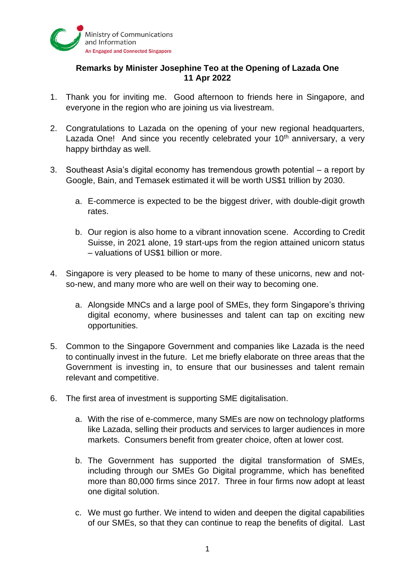

## **Remarks by Minister Josephine Teo at the Opening of Lazada One 11 Apr 2022**

- 1. Thank you for inviting me. Good afternoon to friends here in Singapore, and everyone in the region who are joining us via livestream.
- 2. Congratulations to Lazada on the opening of your new regional headquarters, Lazada One! And since you recently celebrated your 10<sup>th</sup> anniversary, a very happy birthday as well.
- 3. Southeast Asia's digital economy has tremendous growth potential a report by Google, Bain, and Temasek estimated it will be worth US\$1 trillion by 2030.
	- a. E-commerce is expected to be the biggest driver, with double-digit growth rates.
	- b. Our region is also home to a vibrant innovation scene. According to Credit Suisse, in 2021 alone, 19 start-ups from the region attained unicorn status – valuations of US\$1 billion or more.
- 4. Singapore is very pleased to be home to many of these unicorns, new and notso-new, and many more who are well on their way to becoming one.
	- a. Alongside MNCs and a large pool of SMEs, they form Singapore's thriving digital economy, where businesses and talent can tap on exciting new opportunities.
- 5. Common to the Singapore Government and companies like Lazada is the need to continually invest in the future. Let me briefly elaborate on three areas that the Government is investing in, to ensure that our businesses and talent remain relevant and competitive.
- 6. The first area of investment is supporting SME digitalisation.
	- a. With the rise of e-commerce, many SMEs are now on technology platforms like Lazada, selling their products and services to larger audiences in more markets. Consumers benefit from greater choice, often at lower cost.
	- b. The Government has supported the digital transformation of SMEs, including through our SMEs Go Digital programme, which has benefited more than 80,000 firms since 2017. Three in four firms now adopt at least one digital solution.
	- c. We must go further. We intend to widen and deepen the digital capabilities of our SMEs, so that they can continue to reap the benefits of digital. Last